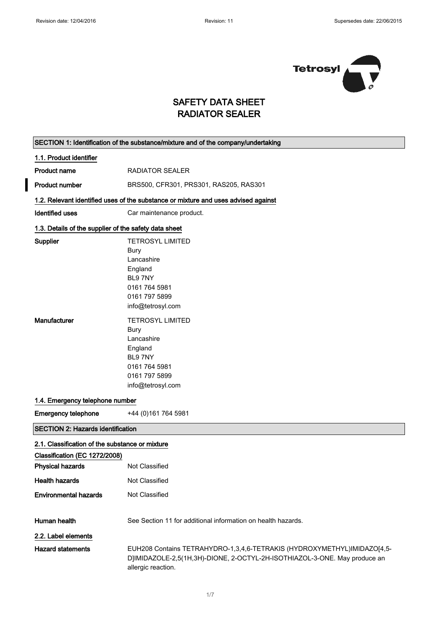

### SAFETY DATA SHEET RADIATOR SEALER

| 1.1. Product identifier<br><b>RADIATOR SEALER</b><br><b>Product name</b><br><b>Product number</b><br>BRS500, CFR301, PRS301, RAS205, RAS301<br>1.2. Relevant identified uses of the substance or mixture and uses advised against<br><b>Identified uses</b><br>Car maintenance product.<br>1.3. Details of the supplier of the safety data sheet<br><b>TETROSYL LIMITED</b><br>Supplier<br>Bury<br>Lancashire<br>England<br>BL97NY<br>0161 764 5981<br>0161 797 5899 |
|----------------------------------------------------------------------------------------------------------------------------------------------------------------------------------------------------------------------------------------------------------------------------------------------------------------------------------------------------------------------------------------------------------------------------------------------------------------------|
|                                                                                                                                                                                                                                                                                                                                                                                                                                                                      |
|                                                                                                                                                                                                                                                                                                                                                                                                                                                                      |
|                                                                                                                                                                                                                                                                                                                                                                                                                                                                      |
|                                                                                                                                                                                                                                                                                                                                                                                                                                                                      |
|                                                                                                                                                                                                                                                                                                                                                                                                                                                                      |
|                                                                                                                                                                                                                                                                                                                                                                                                                                                                      |
|                                                                                                                                                                                                                                                                                                                                                                                                                                                                      |
|                                                                                                                                                                                                                                                                                                                                                                                                                                                                      |
|                                                                                                                                                                                                                                                                                                                                                                                                                                                                      |
|                                                                                                                                                                                                                                                                                                                                                                                                                                                                      |
|                                                                                                                                                                                                                                                                                                                                                                                                                                                                      |
| info@tetrosyl.com                                                                                                                                                                                                                                                                                                                                                                                                                                                    |
| Manufacturer<br><b>TETROSYL LIMITED</b>                                                                                                                                                                                                                                                                                                                                                                                                                              |
| Bury                                                                                                                                                                                                                                                                                                                                                                                                                                                                 |
| Lancashire                                                                                                                                                                                                                                                                                                                                                                                                                                                           |
| England                                                                                                                                                                                                                                                                                                                                                                                                                                                              |
| BL97NY                                                                                                                                                                                                                                                                                                                                                                                                                                                               |
| 0161 764 5981                                                                                                                                                                                                                                                                                                                                                                                                                                                        |
| 0161 797 5899<br>info@tetrosyl.com                                                                                                                                                                                                                                                                                                                                                                                                                                   |
|                                                                                                                                                                                                                                                                                                                                                                                                                                                                      |
| 1.4. Emergency telephone number                                                                                                                                                                                                                                                                                                                                                                                                                                      |
| <b>Emergency telephone</b><br>+44 (0) 161 764 5981                                                                                                                                                                                                                                                                                                                                                                                                                   |
| <b>SECTION 2: Hazards identification</b>                                                                                                                                                                                                                                                                                                                                                                                                                             |
| 2.1. Classification of the substance or mixture                                                                                                                                                                                                                                                                                                                                                                                                                      |
| Classification (EC 1272/2008)                                                                                                                                                                                                                                                                                                                                                                                                                                        |
| Not Classified<br><b>Physical hazards</b>                                                                                                                                                                                                                                                                                                                                                                                                                            |
| <b>Health hazards</b><br>Not Classified                                                                                                                                                                                                                                                                                                                                                                                                                              |
| <b>Environmental hazards</b><br>Not Classified                                                                                                                                                                                                                                                                                                                                                                                                                       |
|                                                                                                                                                                                                                                                                                                                                                                                                                                                                      |
| Human health<br>See Section 11 for additional information on health hazards.                                                                                                                                                                                                                                                                                                                                                                                         |
| 2.2. Label elements                                                                                                                                                                                                                                                                                                                                                                                                                                                  |
| <b>Hazard statements</b><br>EUH208 Contains TETRAHYDRO-1,3,4,6-TETRAKIS (HYDROXYMETHYL)IMIDAZO[4,5-<br>D]IMIDAZOLE-2,5(1H,3H)-DIONE, 2-OCTYL-2H-ISOTHIAZOL-3-ONE. May produce an<br>allergic reaction.                                                                                                                                                                                                                                                               |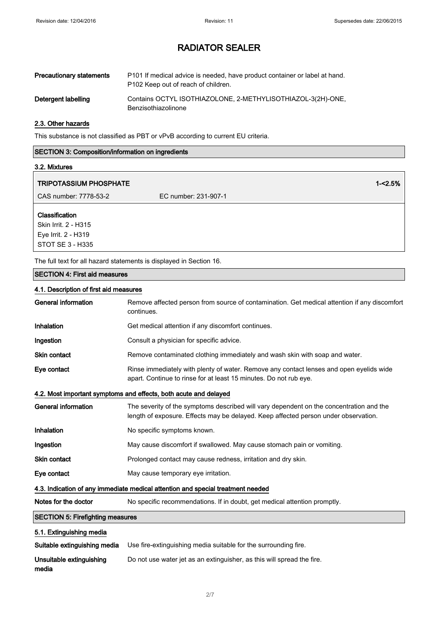| <b>Precautionary statements</b> | P101 If medical advice is needed, have product container or label at hand.<br>P <sub>102</sub> Keep out of reach of children. |
|---------------------------------|-------------------------------------------------------------------------------------------------------------------------------|
| Detergent labelling             | Contains OCTYL ISOTHIAZOLONE, 2-METHYLISOTHIAZOL-3(2H)-ONE,<br>Benzisothiazolinone                                            |

#### 2.3. Other hazards

This substance is not classified as PBT or vPvB according to current EU criteria.

| <b>SECTION 3: Composition/information on ingredients</b> |                      |            |
|----------------------------------------------------------|----------------------|------------|
| 3.2. Mixtures                                            |                      |            |
| <b>TRIPOTASSIUM PHOSPHATE</b>                            |                      | $1 - 2.5%$ |
| CAS number: 7778-53-2                                    | EC number: 231-907-1 |            |
| <b>Classification</b>                                    |                      |            |

Skin Irrit. 2 - H315 Eye Irrit. 2 - H319 STOT SE 3 - H335

The full text for all hazard statements is displayed in Section 16.

#### SECTION 4: First aid measures

#### 4.1. Description of first aid measures

| <b>General information</b>                                                      | Remove affected person from source of contamination. Get medical attention if any discomfort<br>continues.                                                                     |  |
|---------------------------------------------------------------------------------|--------------------------------------------------------------------------------------------------------------------------------------------------------------------------------|--|
| Inhalation                                                                      | Get medical attention if any discomfort continues.                                                                                                                             |  |
| Ingestion                                                                       | Consult a physician for specific advice.                                                                                                                                       |  |
| <b>Skin contact</b>                                                             | Remove contaminated clothing immediately and wash skin with soap and water.                                                                                                    |  |
| Eye contact                                                                     | Rinse immediately with plenty of water. Remove any contact lenses and open eyelids wide<br>apart. Continue to rinse for at least 15 minutes. Do not rub eye.                   |  |
| 4.2. Most important symptoms and effects, both acute and delayed                |                                                                                                                                                                                |  |
| <b>General information</b>                                                      | The severity of the symptoms described will vary dependent on the concentration and the<br>length of exposure. Effects may be delayed. Keep affected person under observation. |  |
| Inhalation                                                                      | No specific symptoms known.                                                                                                                                                    |  |
| Ingestion                                                                       | May cause discomfort if swallowed. May cause stomach pain or vomiting.                                                                                                         |  |
| <b>Skin contact</b>                                                             | Prolonged contact may cause redness, irritation and dry skin.                                                                                                                  |  |
| Eye contact                                                                     | May cause temporary eye irritation.                                                                                                                                            |  |
| 4.3. Indication of any immediate medical attention and special treatment needed |                                                                                                                                                                                |  |
| Notes for the doctor                                                            | No specific recommendations. If in doubt, get medical attention promptly.                                                                                                      |  |
| <b>SECTION 5: Firefighting measures</b>                                         |                                                                                                                                                                                |  |
| 5.1. Extinguishing media                                                        |                                                                                                                                                                                |  |
| Suitable extinguishing media                                                    | Use fire-extinguishing media suitable for the surrounding fire.                                                                                                                |  |
| Unsuitable extinguishing<br>media                                               | Do not use water jet as an extinguisher, as this will spread the fire.                                                                                                         |  |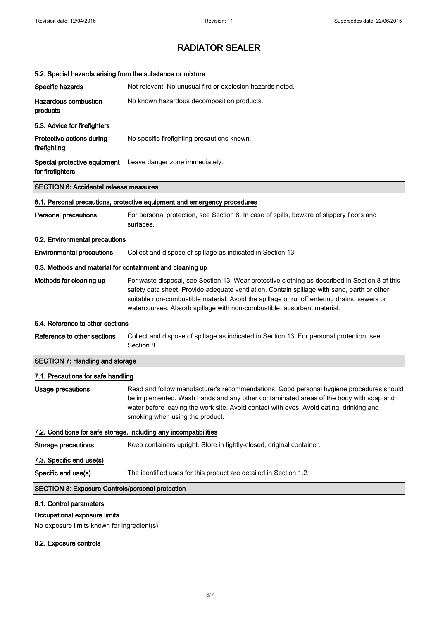| 5.2. Special hazards arising from the substance or mixture |                                                                                                                                                                                                                                                                                                                                                                        |
|------------------------------------------------------------|------------------------------------------------------------------------------------------------------------------------------------------------------------------------------------------------------------------------------------------------------------------------------------------------------------------------------------------------------------------------|
| Specific hazards                                           | Not relevant. No unusual fire or explosion hazards noted.                                                                                                                                                                                                                                                                                                              |
| <b>Hazardous combustion</b><br>products                    | No known hazardous decomposition products.                                                                                                                                                                                                                                                                                                                             |
| 5.3. Advice for firefighters                               |                                                                                                                                                                                                                                                                                                                                                                        |
| Protective actions during<br>firefighting                  | No specific firefighting precautions known.                                                                                                                                                                                                                                                                                                                            |
| Special protective equipment<br>for firefighters           | Leave danger zone immediately.                                                                                                                                                                                                                                                                                                                                         |
| <b>SECTION 6: Accidental release measures</b>              |                                                                                                                                                                                                                                                                                                                                                                        |
|                                                            | 6.1. Personal precautions, protective equipment and emergency procedures                                                                                                                                                                                                                                                                                               |
| <b>Personal precautions</b>                                | For personal protection, see Section 8. In case of spills, beware of slippery floors and<br>surfaces.                                                                                                                                                                                                                                                                  |
| 6.2. Environmental precautions                             |                                                                                                                                                                                                                                                                                                                                                                        |
| <b>Environmental precautions</b>                           | Collect and dispose of spillage as indicated in Section 13.                                                                                                                                                                                                                                                                                                            |
| 6.3. Methods and material for containment and cleaning up  |                                                                                                                                                                                                                                                                                                                                                                        |
| Methods for cleaning up                                    | For waste disposal, see Section 13. Wear protective clothing as described in Section 8 of this<br>safety data sheet. Provide adequate ventilation. Contain spillage with sand, earth or other<br>suitable non-combustible material. Avoid the spillage or runoff entering drains, sewers or<br>watercourses. Absorb spillage with non-combustible, absorbent material. |
| 6.4. Reference to other sections                           |                                                                                                                                                                                                                                                                                                                                                                        |
| Reference to other sections                                | Collect and dispose of spillage as indicated in Section 13. For personal protection, see<br>Section 8.                                                                                                                                                                                                                                                                 |
| <b>SECTION 7: Handling and storage</b>                     |                                                                                                                                                                                                                                                                                                                                                                        |
| 7.1. Precautions for safe handling                         |                                                                                                                                                                                                                                                                                                                                                                        |
| Usage precautions                                          | Read and follow manufacturer's recommendations. Good personal hygiene procedures should<br>be implemented. Wash hands and any other contaminated areas of the body with soap and<br>water before leaving the work site. Avoid contact with eyes. Avoid eating, drinking and<br>smoking when using the product.                                                         |
|                                                            | 7.2. Conditions for safe storage, including any incompatibilities                                                                                                                                                                                                                                                                                                      |
| <b>Storage precautions</b>                                 | Keep containers upright. Store in tightly-closed, original container.                                                                                                                                                                                                                                                                                                  |
| 7.3. Specific end use(s)                                   |                                                                                                                                                                                                                                                                                                                                                                        |
| Specific end use(s)                                        | The identified uses for this product are detailed in Section 1.2.                                                                                                                                                                                                                                                                                                      |
| <b>SECTION 8: Exposure Controls/personal protection</b>    |                                                                                                                                                                                                                                                                                                                                                                        |
| 8.1. Control parameters                                    |                                                                                                                                                                                                                                                                                                                                                                        |
|                                                            |                                                                                                                                                                                                                                                                                                                                                                        |

Occupational exposure limits

No exposure limits known for ingredient(s).

#### 8.2. Exposure controls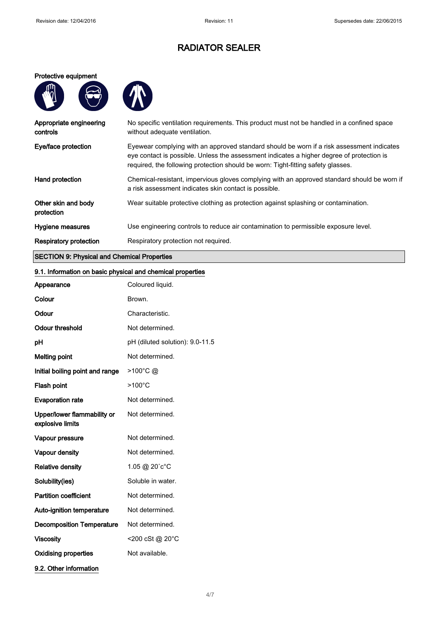#### Protective equipment



| <b>Respiratory protection</b>       | Respiratory protection not required.                                                                                                                                                                                                                                       |
|-------------------------------------|----------------------------------------------------------------------------------------------------------------------------------------------------------------------------------------------------------------------------------------------------------------------------|
| Hygiene measures                    | Use engineering controls to reduce air contamination to permissible exposure level.                                                                                                                                                                                        |
| Other skin and body<br>protection   | Wear suitable protective clothing as protection against splashing or contamination.                                                                                                                                                                                        |
| Hand protection                     | Chemical-resistant, impervious gloves complying with an approved standard should be worn if<br>a risk assessment indicates skin contact is possible.                                                                                                                       |
| Eye/face protection                 | Eyewear complying with an approved standard should be worn if a risk assessment indicates<br>eye contact is possible. Unless the assessment indicates a higher degree of protection is<br>required, the following protection should be worn: Tight-fitting safety glasses. |
| Appropriate engineering<br>controls | No specific ventilation requirements. This product must not be handled in a confined space<br>without adequate ventilation.                                                                                                                                                |

### SECTION 9: Physical and Chemical Properties

2

### 9.1. Information on basic physical and chemical properties

| Appearance                                      | Coloured liquid.                |
|-------------------------------------------------|---------------------------------|
| Colour                                          | Brown.                          |
| Odour                                           | Characteristic.                 |
| <b>Odour threshold</b>                          | Not determined.                 |
| pH                                              | pH (diluted solution): 9.0-11.5 |
| <b>Melting point</b>                            | Not determined.                 |
| Initial boiling point and range                 | $>100^{\circ}$ C @              |
| Flash point                                     | $>100^{\circ}$ C                |
| <b>Evaporation rate</b>                         | Not determined.                 |
| Upper/lower flammability or<br>explosive limits | Not determined.                 |
| Vapour pressure                                 | Not determined.                 |
| Vapour density                                  | Not determined.                 |
| <b>Relative density</b>                         | 1.05 @ 20°c°C                   |
| Solubility(ies)                                 | Soluble in water.               |
| <b>Partition coefficient</b>                    | Not determined.                 |
| Auto-ignition temperature                       | Not determined.                 |
| <b>Decomposition Temperature</b>                | Not determined.                 |
| <b>Viscosity</b>                                | <200 cSt @ 20°C                 |
| <b>Oxidising properties</b>                     | Not available.                  |
| 9.2. Other information                          |                                 |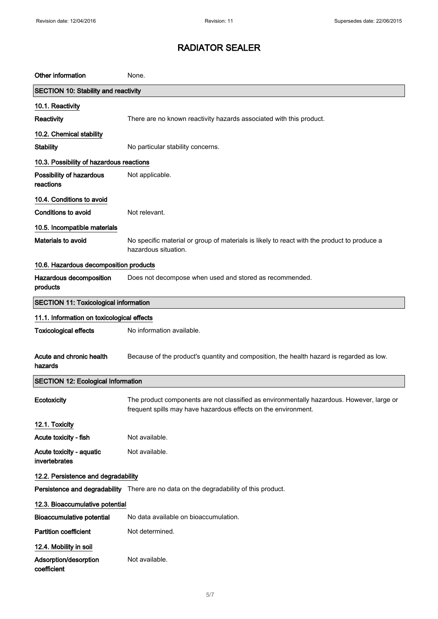| Other information                            | None.                                                                                                                                                       |
|----------------------------------------------|-------------------------------------------------------------------------------------------------------------------------------------------------------------|
| <b>SECTION 10: Stability and reactivity</b>  |                                                                                                                                                             |
| 10.1. Reactivity                             |                                                                                                                                                             |
| Reactivity                                   | There are no known reactivity hazards associated with this product.                                                                                         |
| 10.2. Chemical stability                     |                                                                                                                                                             |
| <b>Stability</b>                             | No particular stability concerns.                                                                                                                           |
| 10.3. Possibility of hazardous reactions     |                                                                                                                                                             |
| Possibility of hazardous<br>reactions        | Not applicable.                                                                                                                                             |
| 10.4. Conditions to avoid                    |                                                                                                                                                             |
| <b>Conditions to avoid</b>                   | Not relevant.                                                                                                                                               |
| 10.5. Incompatible materials                 |                                                                                                                                                             |
| Materials to avoid                           | No specific material or group of materials is likely to react with the product to produce a<br>hazardous situation.                                         |
| 10.6. Hazardous decomposition products       |                                                                                                                                                             |
| Hazardous decomposition<br>products          | Does not decompose when used and stored as recommended.                                                                                                     |
| <b>SECTION 11: Toxicological information</b> |                                                                                                                                                             |
| 11.1. Information on toxicological effects   |                                                                                                                                                             |
| <b>Toxicological effects</b>                 | No information available.                                                                                                                                   |
| Acute and chronic health<br>hazards          | Because of the product's quantity and composition, the health hazard is regarded as low.                                                                    |
| <b>SECTION 12: Ecological Information</b>    |                                                                                                                                                             |
| Ecotoxicity                                  | The product components are not classified as environmentally hazardous. However, large or<br>frequent spills may have hazardous effects on the environment. |
| 12.1. Toxicity                               |                                                                                                                                                             |
| Acute toxicity - fish                        | Not available.                                                                                                                                              |
| Acute toxicity - aquatic<br>invertebrates    | Not available.                                                                                                                                              |
| 12.2. Persistence and degradability          |                                                                                                                                                             |
|                                              | Persistence and degradability There are no data on the degradability of this product.                                                                       |
| 12.3. Bioaccumulative potential              |                                                                                                                                                             |
| <b>Bioaccumulative potential</b>             | No data available on bioaccumulation.                                                                                                                       |
| <b>Partition coefficient</b>                 | Not determined.                                                                                                                                             |
| 12.4. Mobility in soil                       |                                                                                                                                                             |
| Adsorption/desorption<br>coefficient         | Not available.                                                                                                                                              |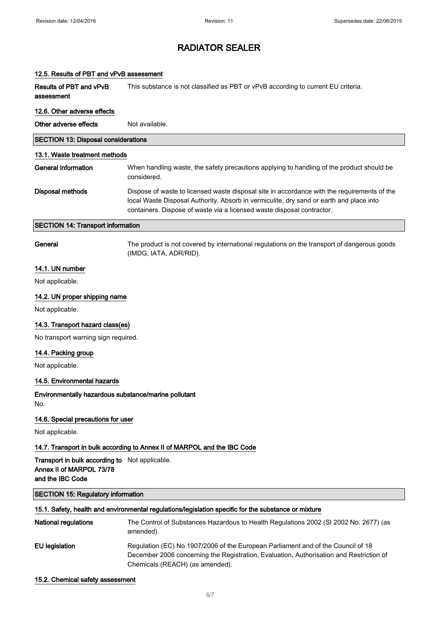| 12.5. Results of PBT and vPvB assessment                                                       |                                                                                                                                                                                                                                                                  |
|------------------------------------------------------------------------------------------------|------------------------------------------------------------------------------------------------------------------------------------------------------------------------------------------------------------------------------------------------------------------|
| Results of PBT and vPvB<br>assessment                                                          | This substance is not classified as PBT or vPvB according to current EU criteria.                                                                                                                                                                                |
| 12.6. Other adverse effects                                                                    |                                                                                                                                                                                                                                                                  |
| Other adverse effects                                                                          | Not available.                                                                                                                                                                                                                                                   |
| <b>SECTION 13: Disposal considerations</b>                                                     |                                                                                                                                                                                                                                                                  |
| 13.1. Waste treatment methods                                                                  |                                                                                                                                                                                                                                                                  |
| <b>General information</b>                                                                     | When handling waste, the safety precautions applying to handling of the product should be<br>considered.                                                                                                                                                         |
| <b>Disposal methods</b>                                                                        | Dispose of waste to licensed waste disposal site in accordance with the requirements of the<br>local Waste Disposal Authority. Absorb in vermiculite, dry sand or earth and place into<br>containers. Dispose of waste via a licensed waste disposal contractor. |
| <b>SECTION 14: Transport information</b>                                                       |                                                                                                                                                                                                                                                                  |
| General                                                                                        | The product is not covered by international regulations on the transport of dangerous goods<br>(IMDG, IATA, ADR/RID).                                                                                                                                            |
| 14.1. UN number                                                                                |                                                                                                                                                                                                                                                                  |
| Not applicable.                                                                                |                                                                                                                                                                                                                                                                  |
| 14.2. UN proper shipping name                                                                  |                                                                                                                                                                                                                                                                  |
| Not applicable.                                                                                |                                                                                                                                                                                                                                                                  |
| 14.3. Transport hazard class(es)                                                               |                                                                                                                                                                                                                                                                  |
| No transport warning sign required.                                                            |                                                                                                                                                                                                                                                                  |
| 14.4. Packing group                                                                            |                                                                                                                                                                                                                                                                  |
| Not applicable.                                                                                |                                                                                                                                                                                                                                                                  |
| 14.5. Environmental hazards                                                                    |                                                                                                                                                                                                                                                                  |
| Environmentally hazardous substance/marine pollutant<br>No.                                    |                                                                                                                                                                                                                                                                  |
| 14.6. Special precautions for user                                                             |                                                                                                                                                                                                                                                                  |
| Not applicable.                                                                                |                                                                                                                                                                                                                                                                  |
|                                                                                                | 14.7. Transport in bulk according to Annex II of MARPOL and the IBC Code                                                                                                                                                                                         |
| Transport in bulk according to Not applicable.<br>Annex II of MARPOL 73/78<br>and the IBC Code |                                                                                                                                                                                                                                                                  |
| <b>SECTION 15: Regulatory information</b>                                                      |                                                                                                                                                                                                                                                                  |
|                                                                                                | 15.1. Safety, health and environmental regulations/legislation specific for the substance or mixture                                                                                                                                                             |
| <b>National regulations</b>                                                                    | The Control of Substances Hazardous to Health Regulations 2002 (SI 2002 No. 2677) (as<br>amended).                                                                                                                                                               |
| <b>EU legislation</b>                                                                          | Regulation (EC) No 1907/2006 of the European Parliament and of the Council of 18<br>December 2006 concerning the Registration, Evaluation, Authorisation and Restriction of<br>Chemicals (REACH) (as amended).                                                   |

15.2. Chemical safety assessment